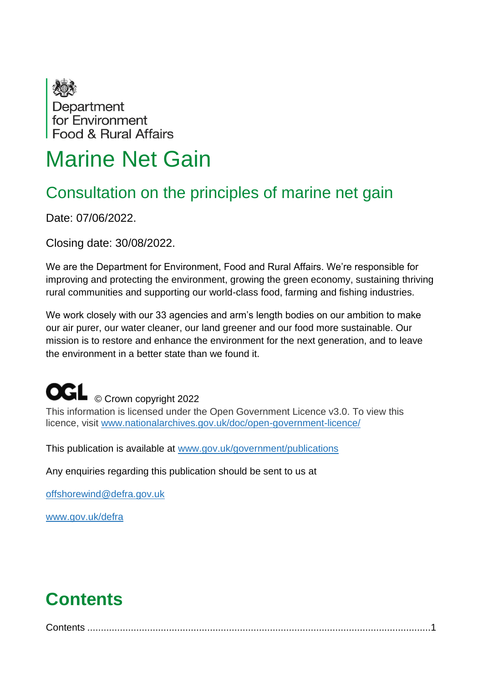

# Marine Net Gain

## Consultation on the principles of marine net gain

Date: 07/06/2022.

Closing date: 30/08/2022.

We are the Department for Environment, Food and Rural Affairs. We're responsible for improving and protecting the environment, growing the green economy, sustaining thriving rural communities and supporting our world-class food, farming and fishing industries.

We work closely with our 33 agencies and arm's length bodies on our ambition to make our air purer, our water cleaner, our land greener and our food more sustainable. Our mission is to restore and enhance the environment for the next generation, and to leave the environment in a better state than we found it.

# **OGL** © Crown copyright 2022

This information is licensed under the Open Government Licence v3.0. To view this licence, visit [www.nationalarchives.gov.uk/doc/open-government-licence/](http://www.nationalarchives.gov.uk/doc/open-government-licence/)

This publication is available at [www.gov.uk/government/publications](http://www.gov.uk/government/publications)

Any enquiries regarding this publication should be sent to us at

[offshorewind@defra.gov.uk](mailto:offshorewind@defra.gov.uk)

[www.gov.uk/defra](http://www.gov.uk/defra)

# <span id="page-0-0"></span>**Contents**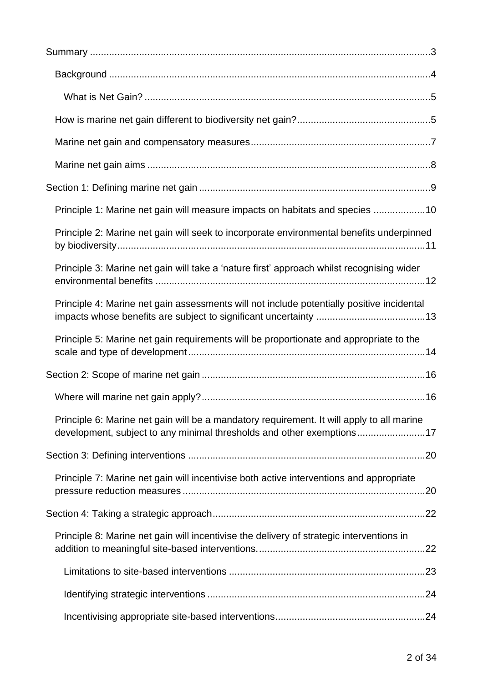| Principle 1: Marine net gain will measure impacts on habitats and species 10                                                                                       |
|--------------------------------------------------------------------------------------------------------------------------------------------------------------------|
| Principle 2: Marine net gain will seek to incorporate environmental benefits underpinned                                                                           |
| Principle 3: Marine net gain will take a 'nature first' approach whilst recognising wider                                                                          |
| Principle 4: Marine net gain assessments will not include potentially positive incidental                                                                          |
| Principle 5: Marine net gain requirements will be proportionate and appropriate to the                                                                             |
|                                                                                                                                                                    |
|                                                                                                                                                                    |
| Principle 6: Marine net gain will be a mandatory requirement. It will apply to all marine<br>development, subject to any minimal thresholds and other exemptions17 |
|                                                                                                                                                                    |
| Principle 7: Marine net gain will incentivise both active interventions and appropriate                                                                            |
|                                                                                                                                                                    |
| Principle 8: Marine net gain will incentivise the delivery of strategic interventions in                                                                           |
|                                                                                                                                                                    |
|                                                                                                                                                                    |
|                                                                                                                                                                    |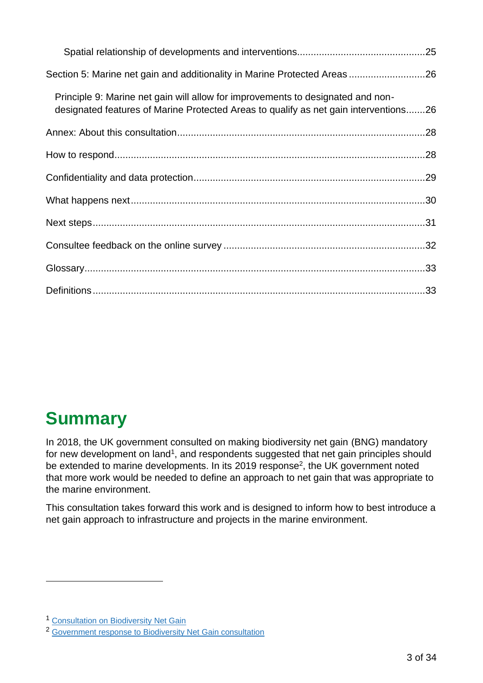| Section 5: Marine net gain and additionality in Marine Protected Areas 26                                                                                               |
|-------------------------------------------------------------------------------------------------------------------------------------------------------------------------|
| Principle 9: Marine net gain will allow for improvements to designated and non-<br>designated features of Marine Protected Areas to qualify as net gain interventions26 |
|                                                                                                                                                                         |
|                                                                                                                                                                         |
|                                                                                                                                                                         |
|                                                                                                                                                                         |
|                                                                                                                                                                         |
|                                                                                                                                                                         |
|                                                                                                                                                                         |
|                                                                                                                                                                         |

## <span id="page-2-0"></span>**Summary**

In 2018, the UK government consulted on making biodiversity net gain (BNG) mandatory for new development on land<sup>1</sup>, and respondents suggested that net gain principles should be extended to marine developments. In its 2019 response<sup>2</sup>, the UK government noted that more work would be needed to define an approach to net gain that was appropriate to the marine environment.

This consultation takes forward this work and is designed to inform how to best introduce a net gain approach to infrastructure and projects in the marine environment.

<sup>1</sup> [Consultation on Biodiversity Net Gain](https://www.gov.uk/government/consultations/biodiversity-net-gain-updating-planning-requirements)

<sup>2</sup> [Government response to Biodiversity Net Gain consultation](https://assets.publishing.service.gov.uk/government/uploads/system/uploads/attachment_data/file/819823/net-gain-consult-sum-resp.pdf)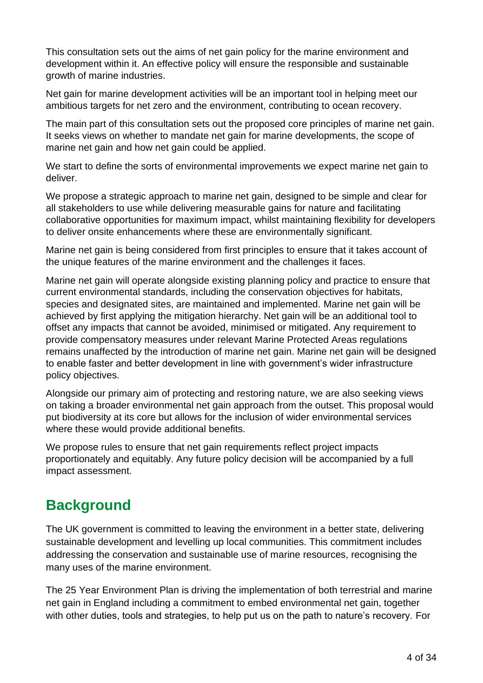This consultation sets out the aims of net gain policy for the marine environment and development within it. An effective policy will ensure the responsible and sustainable growth of marine industries.

Net gain for marine development activities will be an important tool in helping meet our ambitious targets for net zero and the environment, contributing to ocean recovery.

The main part of this consultation sets out the proposed core principles of marine net gain. It seeks views on whether to mandate net gain for marine developments, the scope of marine net gain and how net gain could be applied.

We start to define the sorts of environmental improvements we expect marine net gain to deliver.

We propose a strategic approach to marine net gain, designed to be simple and clear for all stakeholders to use while delivering measurable gains for nature and facilitating collaborative opportunities for maximum impact, whilst maintaining flexibility for developers to deliver onsite enhancements where these are environmentally significant.

Marine net gain is being considered from first principles to ensure that it takes account of the unique features of the marine environment and the challenges it faces.

Marine net gain will operate alongside existing planning policy and practice to ensure that current environmental standards, including the conservation objectives for habitats, species and designated sites, are maintained and implemented. Marine net gain will be achieved by first applying the mitigation hierarchy. Net gain will be an additional tool to offset any impacts that cannot be avoided, minimised or mitigated. Any requirement to provide compensatory measures under relevant Marine Protected Areas regulations remains unaffected by the introduction of marine net gain. Marine net gain will be designed to enable faster and better development in line with government's wider infrastructure policy objectives.

Alongside our primary aim of protecting and restoring nature, we are also seeking views on taking a broader environmental net gain approach from the outset. This proposal would put biodiversity at its core but allows for the inclusion of wider environmental services where these would provide additional benefits.

We propose rules to ensure that net gain requirements reflect project impacts proportionately and equitably. Any future policy decision will be accompanied by a full impact assessment.

## <span id="page-3-0"></span>**Background**

The UK government is committed to leaving the environment in a better state, delivering sustainable development and levelling up local communities. This commitment includes addressing the conservation and sustainable use of marine resources, recognising the many uses of the marine environment.

The 25 Year Environment Plan is driving the implementation of both terrestrial and marine net gain in England including a commitment to embed environmental net gain, together with other duties, tools and strategies, to help put us on the path to nature's recovery. For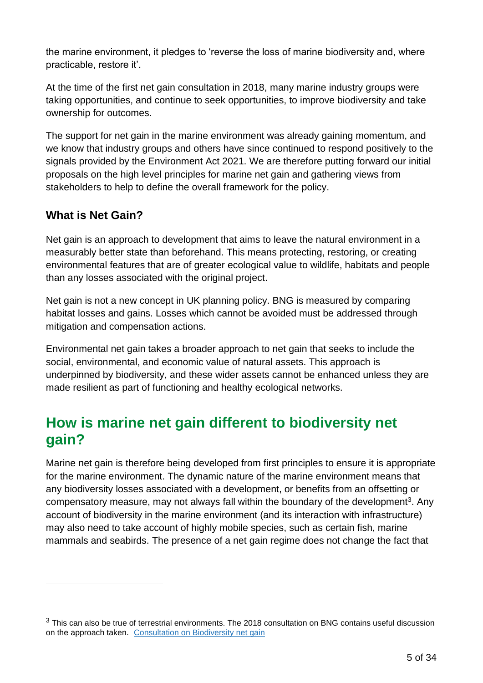the marine environment, it pledges to 'reverse the loss of marine biodiversity and, where practicable, restore it'.

At the time of the first net gain consultation in 2018, many marine industry groups were taking opportunities, and continue to seek opportunities, to improve biodiversity and take ownership for outcomes.

The support for net gain in the marine environment was already gaining momentum, and we know that industry groups and others have since continued to respond positively to the signals provided by the Environment Act 2021. We are therefore putting forward our initial proposals on the high level principles for marine net gain and gathering views from stakeholders to help to define the overall framework for the policy.

### <span id="page-4-0"></span>**What is Net Gain?**

Net gain is an approach to development that aims to leave the natural environment in a measurably better state than beforehand. This means protecting, restoring, or creating environmental features that are of greater ecological value to wildlife, habitats and people than any losses associated with the original project.

Net gain is not a new concept in UK planning policy. BNG is measured by comparing habitat losses and gains. Losses which cannot be avoided must be addressed through mitigation and compensation actions.

Environmental net gain takes a broader approach to net gain that seeks to include the social, environmental, and economic value of natural assets. This approach is underpinned by biodiversity, and these wider assets cannot be enhanced unless they are made resilient as part of functioning and healthy ecological networks.

## <span id="page-4-1"></span>**How is marine net gain different to biodiversity net gain?**

Marine net gain is therefore being developed from first principles to ensure it is appropriate for the marine environment. The dynamic nature of the marine environment means that any biodiversity losses associated with a development, or benefits from an offsetting or compensatory measure, may not always fall within the boundary of the development<sup>3</sup>. Any account of biodiversity in the marine environment (and its interaction with infrastructure) may also need to take account of highly mobile species, such as certain fish, marine mammals and seabirds. The presence of a net gain regime does not change the fact that

 $3$  This can also be true of terrestrial environments. The 2018 consultation on BNG contains useful discussion on the approach taken. [C](https://www.gov.uk/government/consultations/biodiversity-net-gain-updating-planning-requirements)onsultation on [Biodiversity net gain](https://www.gov.uk/government/consultations/biodiversity-net-gain-updating-planning-requirements)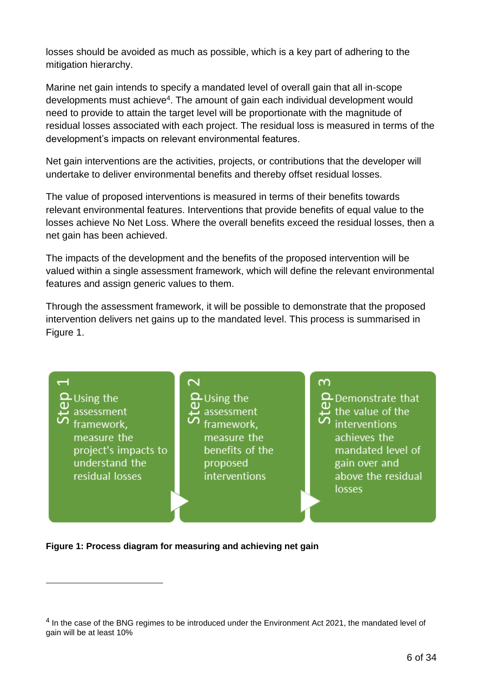losses should be avoided as much as possible, which is a key part of adhering to the mitigation hierarchy.

Marine net gain intends to specify a mandated level of overall gain that all in-scope developments must achieve<sup>4</sup>. The amount of gain each individual development would need to provide to attain the target level will be proportionate with the magnitude of residual losses associated with each project. The residual loss is measured in terms of the development's impacts on relevant environmental features.

Net gain interventions are the activities, projects, or contributions that the developer will undertake to deliver environmental benefits and thereby offset residual losses.

The value of proposed interventions is measured in terms of their benefits towards relevant environmental features. Interventions that provide benefits of equal value to the losses achieve No Net Loss. Where the overall benefits exceed the residual losses, then a net gain has been achieved.

The impacts of the development and the benefits of the proposed intervention will be valued within a single assessment framework, which will define the relevant environmental features and assign generic values to them.

Through the assessment framework, it will be possible to demonstrate that the proposed intervention delivers net gains up to the mandated level. This process is summarised in Figure 1.



**Figure 1: Process diagram for measuring and achieving net gain**

 $<sup>4</sup>$  In the case of the BNG regimes to be introduced under the Environment Act 2021, the mandated level of</sup> gain will be at least 10%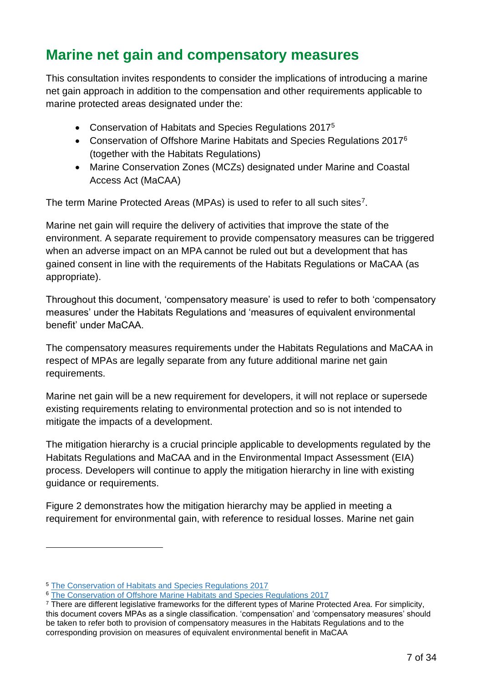### <span id="page-6-0"></span>**Marine net gain and compensatory measures**

This consultation invites respondents to consider the implications of introducing a marine net gain approach in addition to the compensation and other requirements applicable to marine protected areas designated under the:

- Conservation of Habitats and Species Regulations 2017<sup>5</sup>
- Conservation of Offshore Marine Habitats and Species Regulations 2017<sup>6</sup> (together with the Habitats Regulations)
- Marine Conservation Zones (MCZs) designated under Marine and Coastal Access Act (MaCAA)

The term Marine Protected Areas (MPAs) is used to refer to all such sites<sup>7</sup>.

Marine net gain will require the delivery of activities that improve the state of the environment. A separate requirement to provide compensatory measures can be triggered when an adverse impact on an MPA cannot be ruled out but a development that has gained consent in line with the requirements of the Habitats Regulations or MaCAA (as appropriate).

Throughout this document, 'compensatory measure' is used to refer to both 'compensatory measures' under the Habitats Regulations and 'measures of equivalent environmental benefit' under MaCAA.

The compensatory measures requirements under the Habitats Regulations and MaCAA in respect of MPAs are legally separate from any future additional marine net gain requirements.

Marine net gain will be a new requirement for developers, it will not replace or supersede existing requirements relating to environmental protection and so is not intended to mitigate the impacts of a development.

The mitigation hierarchy is a crucial principle applicable to developments regulated by the Habitats Regulations and MaCAA and in the Environmental Impact Assessment (EIA) process. Developers will continue to apply the mitigation hierarchy in line with existing guidance or requirements.

Figure 2 demonstrates how the mitigation hierarchy may be applied in meeting a requirement for environmental gain, with reference to residual losses. Marine net gain

<sup>5</sup> [The Conservation of Habitats and Species Regulations 2017](https://www.legislation.gov.uk/uksi/2017/1012/contents/made)

<sup>&</sup>lt;sup>6</sup> [The Conservation of Offshore Marine Habitats and Species Regulations 2017](https://www.legislation.gov.uk/uksi/2017/1013/contents)

<sup>7</sup> There are different legislative frameworks for the different types of Marine Protected Area. For simplicity, this document covers MPAs as a single classification. 'compensation' and 'compensatory measures' should be taken to refer both to provision of compensatory measures in the Habitats Regulations and to the corresponding provision on measures of equivalent environmental benefit in MaCAA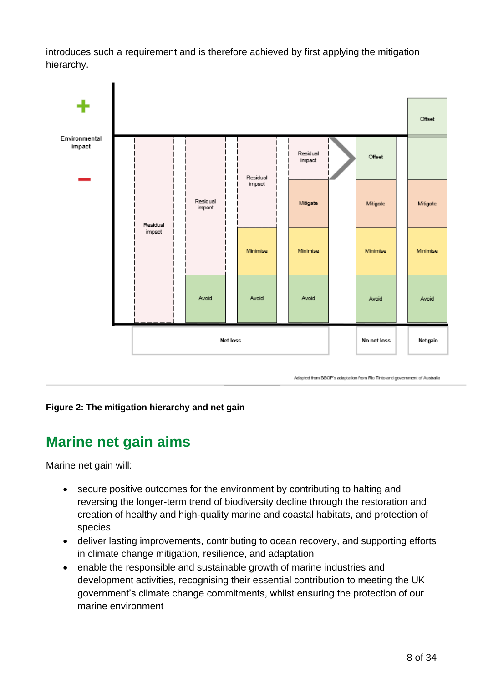introduces such a requirement and is therefore achieved by first applying the mitigation hierarchy.



#### <span id="page-7-0"></span>**Figure 2: The mitigation hierarchy and net gain**

### **Marine net gain aims**

Marine net gain will:

- secure positive outcomes for the environment by contributing to halting and reversing the longer-term trend of biodiversity decline through the restoration and creation of healthy and high-quality marine and coastal habitats, and protection of species
- deliver lasting improvements, contributing to ocean recovery, and supporting efforts in climate change mitigation, resilience, and adaptation
- enable the responsible and sustainable growth of marine industries and development activities, recognising their essential contribution to meeting the UK government's climate change commitments, whilst ensuring the protection of our marine environment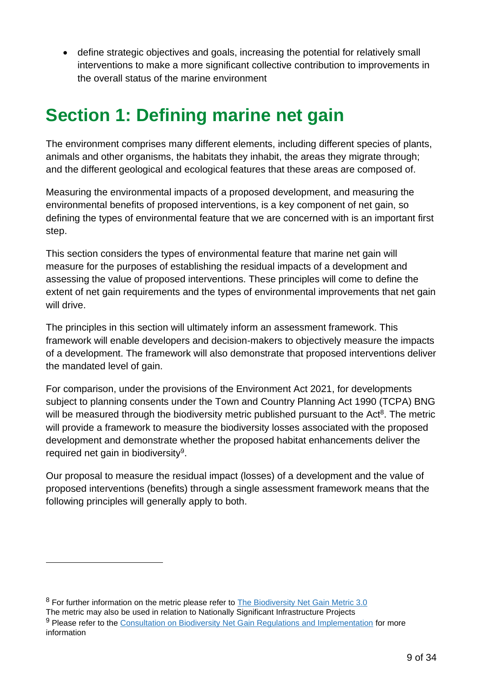• define strategic objectives and goals, increasing the potential for relatively small interventions to make a more significant collective contribution to improvements in the overall status of the marine environment

# <span id="page-8-0"></span>**Section 1: Defining marine net gain**

The environment comprises many different elements, including different species of plants, animals and other organisms, the habitats they inhabit, the areas they migrate through; and the different geological and ecological features that these areas are composed of.

Measuring the environmental impacts of a proposed development, and measuring the environmental benefits of proposed interventions, is a key component of net gain, so defining the types of environmental feature that we are concerned with is an important first step.

This section considers the types of environmental feature that marine net gain will measure for the purposes of establishing the residual impacts of a development and assessing the value of proposed interventions. These principles will come to define the extent of net gain requirements and the types of environmental improvements that net gain will drive.

The principles in this section will ultimately inform an assessment framework. This framework will enable developers and decision-makers to objectively measure the impacts of a development. The framework will also demonstrate that proposed interventions deliver the mandated level of gain.

For comparison, under the provisions of the Environment Act 2021, for developments subject to planning consents under the Town and Country Planning Act 1990 (TCPA) BNG will be measured through the biodiversity metric published pursuant to the Act<sup>8</sup>. The metric will provide a framework to measure the biodiversity losses associated with the proposed development and demonstrate whether the proposed habitat enhancements deliver the required net gain in biodiversity<sup>9</sup>.

Our proposal to measure the residual impact (losses) of a development and the value of proposed interventions (benefits) through a single assessment framework means that the following principles will generally apply to both.

<sup>&</sup>lt;sup>8</sup> For further information on the metric please refer to [The Biodiversity Net Gain Metric 3.0](http://publications.naturalengland.org.uk/publication/6049804846366720)

The metric may also be used in relation to Nationally Significant Infrastructure Projects 9 Please refer to the [Consultation on Biodiversity Net Gain Regulations and Implementation](https://consult.defra.gov.uk/defra-net-gain-consultation-team/consultation-on-biodiversity-net-gain-regulations/) for more information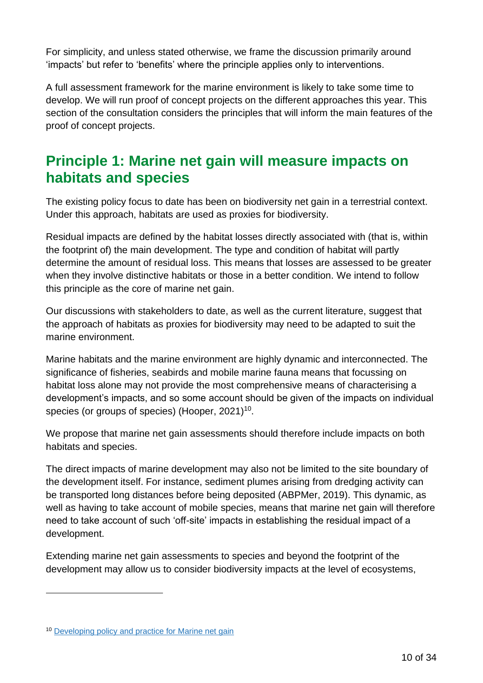For simplicity, and unless stated otherwise, we frame the discussion primarily around 'impacts' but refer to 'benefits' where the principle applies only to interventions.

A full assessment framework for the marine environment is likely to take some time to develop. We will run proof of concept projects on the different approaches this year. This section of the consultation considers the principles that will inform the main features of the proof of concept projects.

### <span id="page-9-0"></span>**Principle 1: Marine net gain will measure impacts on habitats and species**

The existing policy focus to date has been on biodiversity net gain in a terrestrial context. Under this approach, habitats are used as proxies for biodiversity.

Residual impacts are defined by the habitat losses directly associated with (that is, within the footprint of) the main development. The type and condition of habitat will partly determine the amount of residual loss. This means that losses are assessed to be greater when they involve distinctive habitats or those in a better condition. We intend to follow this principle as the core of marine net gain.

Our discussions with stakeholders to date, as well as the current literature, suggest that the approach of habitats as proxies for biodiversity may need to be adapted to suit the marine environment.

Marine habitats and the marine environment are highly dynamic and interconnected. The significance of fisheries, seabirds and mobile marine fauna means that focussing on habitat loss alone may not provide the most comprehensive means of characterising a development's impacts, and so some account should be given of the impacts on individual species (or groups of species) (Hooper, 2021)<sup>10</sup>.

We propose that marine net gain assessments should therefore include impacts on both habitats and species.

The direct impacts of marine development may also not be limited to the site boundary of the development itself. For instance, sediment plumes arising from dredging activity can be transported long distances before being deposited (ABPMer, 2019). This dynamic, as well as having to take account of mobile species, means that marine net gain will therefore need to take account of such 'off-site' impacts in establishing the residual impact of a development.

Extending marine net gain assessments to species and beyond the footprint of the development may allow us to consider biodiversity impacts at the level of ecosystems,

<sup>10</sup> [Developing policy and practice for Marine net gain](https://pubmed.ncbi.nlm.nih.gov/33011423/)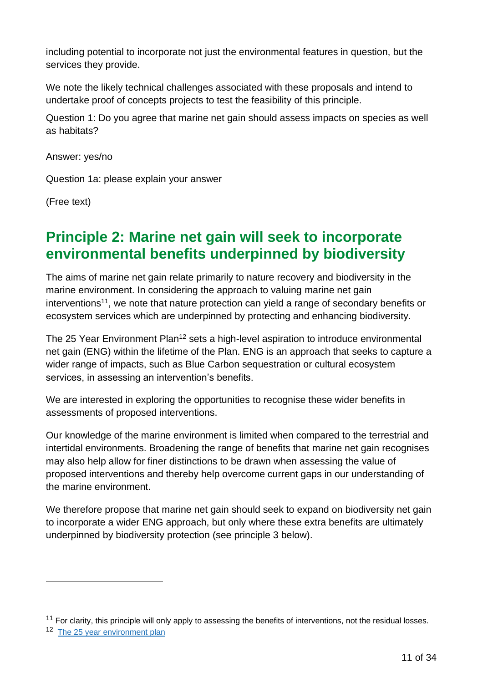including potential to incorporate not just the environmental features in question, but the services they provide.

We note the likely technical challenges associated with these proposals and intend to undertake proof of concepts projects to test the feasibility of this principle.

Question 1: Do you agree that marine net gain should assess impacts on species as well as habitats?

Answer: yes/no

Question 1a: please explain your answer

(Free text)

## <span id="page-10-0"></span>**Principle 2: Marine net gain will seek to incorporate environmental benefits underpinned by biodiversity**

The aims of marine net gain relate primarily to nature recovery and biodiversity in the marine environment. In considering the approach to valuing marine net gain interventions<sup>11</sup>, we note that nature protection can yield a range of secondary benefits or ecosystem services which are underpinned by protecting and enhancing biodiversity.

The 25 Year Environment Plan<sup>12</sup> sets a high-level aspiration to introduce environmental net gain (ENG) within the lifetime of the Plan. ENG is an approach that seeks to capture a wider range of impacts, such as Blue Carbon sequestration or cultural ecosystem services, in assessing an intervention's benefits.

We are interested in exploring the opportunities to recognise these wider benefits in assessments of proposed interventions.

Our knowledge of the marine environment is limited when compared to the terrestrial and intertidal environments. Broadening the range of benefits that marine net gain recognises may also help allow for finer distinctions to be drawn when assessing the value of proposed interventions and thereby help overcome current gaps in our understanding of the marine environment.

We therefore propose that marine net gain should seek to expand on biodiversity net gain to incorporate a wider ENG approach, but only where these extra benefits are ultimately underpinned by biodiversity protection (see principle 3 below).

 $11$  For clarity, this principle will only apply to assessing the benefits of interventions, not the residual losses.

<sup>&</sup>lt;sup>12</sup> [The 25 year environment plan](https://assets.publishing.service.gov.uk/government/uploads/system/uploads/attachment_data/file/693158/25-year-environment-plan.pdf)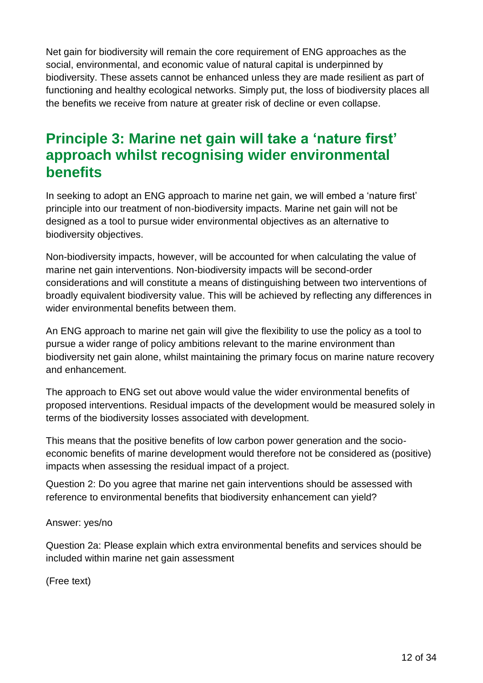Net gain for biodiversity will remain the core requirement of ENG approaches as the social, environmental, and economic value of natural capital is underpinned by biodiversity. These assets cannot be enhanced unless they are made resilient as part of functioning and healthy ecological networks. Simply put, the loss of biodiversity places all the benefits we receive from nature at greater risk of decline or even collapse.

### <span id="page-11-0"></span>**Principle 3: Marine net gain will take a 'nature first' approach whilst recognising wider environmental benefits**

In seeking to adopt an ENG approach to marine net gain, we will embed a 'nature first' principle into our treatment of non-biodiversity impacts. Marine net gain will not be designed as a tool to pursue wider environmental objectives as an alternative to biodiversity objectives.

Non-biodiversity impacts, however, will be accounted for when calculating the value of marine net gain interventions. Non-biodiversity impacts will be second-order considerations and will constitute a means of distinguishing between two interventions of broadly equivalent biodiversity value. This will be achieved by reflecting any differences in wider environmental benefits between them.

An ENG approach to marine net gain will give the flexibility to use the policy as a tool to pursue a wider range of policy ambitions relevant to the marine environment than biodiversity net gain alone, whilst maintaining the primary focus on marine nature recovery and enhancement.

The approach to ENG set out above would value the wider environmental benefits of proposed interventions. Residual impacts of the development would be measured solely in terms of the biodiversity losses associated with development.

This means that the positive benefits of low carbon power generation and the socioeconomic benefits of marine development would therefore not be considered as (positive) impacts when assessing the residual impact of a project.

Question 2: Do you agree that marine net gain interventions should be assessed with reference to environmental benefits that biodiversity enhancement can yield?

#### Answer: yes/no

Question 2a: Please explain which extra environmental benefits and services should be included within marine net gain assessment

(Free text)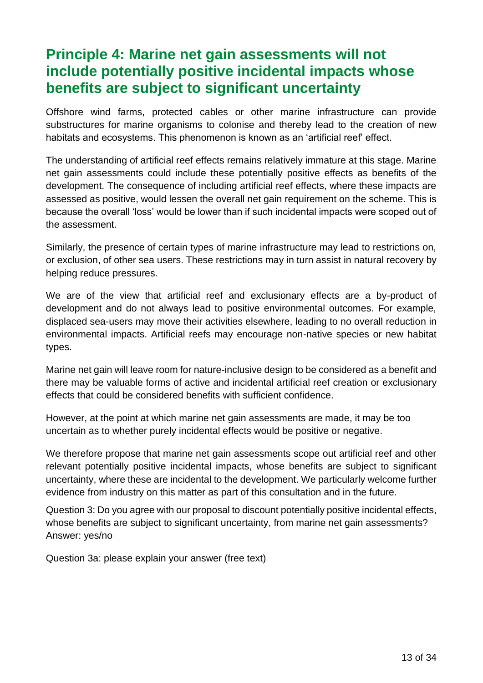## <span id="page-12-0"></span>**Principle 4: Marine net gain assessments will not include potentially positive incidental impacts whose benefits are subject to significant uncertainty**

Offshore wind farms, protected cables or other marine infrastructure can provide substructures for marine organisms to colonise and thereby lead to the creation of new habitats and ecosystems. This phenomenon is known as an 'artificial reef' effect.

The understanding of artificial reef effects remains relatively immature at this stage. Marine net gain assessments could include these potentially positive effects as benefits of the development. The consequence of including artificial reef effects, where these impacts are assessed as positive, would lessen the overall net gain requirement on the scheme. This is because the overall 'loss' would be lower than if such incidental impacts were scoped out of the assessment.

Similarly, the presence of certain types of marine infrastructure may lead to restrictions on, or exclusion, of other sea users. These restrictions may in turn assist in natural recovery by helping reduce pressures.

We are of the view that artificial reef and exclusionary effects are a by-product of development and do not always lead to positive environmental outcomes. For example, displaced sea-users may move their activities elsewhere, leading to no overall reduction in environmental impacts. Artificial reefs may encourage non-native species or new habitat types.

Marine net gain will leave room for nature-inclusive design to be considered as a benefit and there may be valuable forms of active and incidental artificial reef creation or exclusionary effects that could be considered benefits with sufficient confidence.

However, at the point at which marine net gain assessments are made, it may be too uncertain as to whether purely incidental effects would be positive or negative.

We therefore propose that marine net gain assessments scope out artificial reef and other relevant potentially positive incidental impacts, whose benefits are subject to significant uncertainty, where these are incidental to the development. We particularly welcome further evidence from industry on this matter as part of this consultation and in the future.

Question 3: Do you agree with our proposal to discount potentially positive incidental effects, whose benefits are subject to significant uncertainty, from marine net gain assessments? Answer: yes/no

Question 3a: please explain your answer (free text)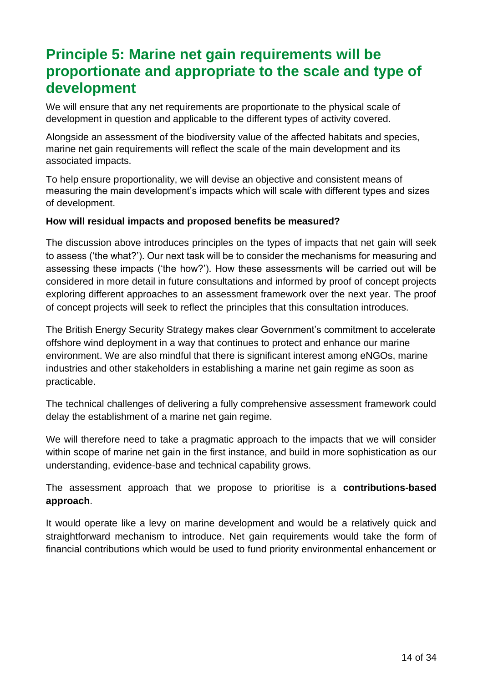## <span id="page-13-0"></span>**Principle 5: Marine net gain requirements will be proportionate and appropriate to the scale and type of development**

We will ensure that any net requirements are proportionate to the physical scale of development in question and applicable to the different types of activity covered.

Alongside an assessment of the biodiversity value of the affected habitats and species, marine net gain requirements will reflect the scale of the main development and its associated impacts.

To help ensure proportionality, we will devise an objective and consistent means of measuring the main development's impacts which will scale with different types and sizes of development.

#### **How will residual impacts and proposed benefits be measured?**

The discussion above introduces principles on the types of impacts that net gain will seek to assess ('the what?'). Our next task will be to consider the mechanisms for measuring and assessing these impacts ('the how?'). How these assessments will be carried out will be considered in more detail in future consultations and informed by proof of concept projects exploring different approaches to an assessment framework over the next year. The proof of concept projects will seek to reflect the principles that this consultation introduces.

The British [Energy Security Strategy m](https://www.gov.uk/government/publications/british-energy-security-strategy/british-energy-security-strategy#renewables)akes clear Government's commitment to accelerate offshore wind deployment in a way that continues to protect and enhance our marine environment. We are also mindful that there is significant interest among eNGOs, marine industries and other stakeholders in establishing a marine net gain regime as soon as practicable.

The technical challenges of delivering a fully comprehensive assessment framework could delay the establishment of a marine net gain regime.

We will therefore need to take a pragmatic approach to the impacts that we will consider within scope of marine net gain in the first instance, and build in more sophistication as our understanding, evidence-base and technical capability grows.

The assessment approach that we propose to prioritise is a **contributions-based approach**.

It would operate like a levy on marine development and would be a relatively quick and straightforward mechanism to introduce. Net gain requirements would take the form of financial contributions which would be used to fund priority environmental enhancement or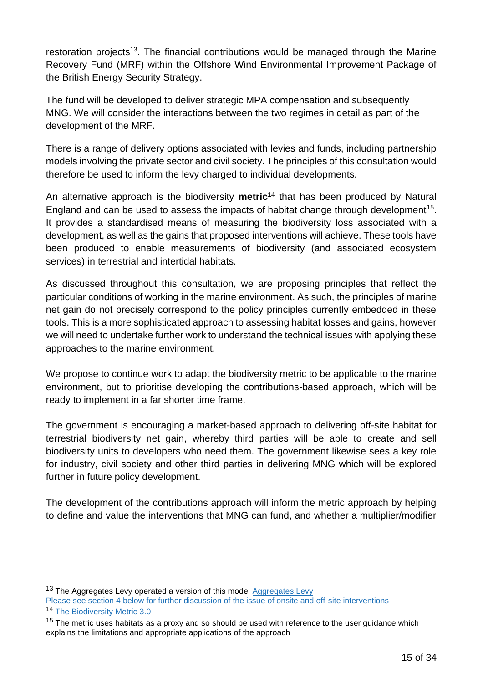restoration projects<sup>13</sup>. The financial contributions would be managed through the Marine Recovery Fund (MRF) within the Offshore Wind Environmental Improvement Package of the British Energy Security Strategy.

The fund will be developed to deliver strategic MPA compensation and subsequently MNG. We will consider the interactions between the two regimes in detail as part of the development of the MRF.

There is a range of delivery options associated with levies and funds, including partnership models involving the private sector and civil society. The principles of this consultation would therefore be used to inform the levy charged to individual developments.

An alternative approach is the biodiversity **metric**<sup>14</sup> that has been produced by Natural England and can be used to assess the impacts of habitat change through development<sup>15</sup>. It provides a standardised means of measuring the biodiversity loss associated with a development, as well as the gains that proposed interventions will achieve. These tools have been produced to enable measurements of biodiversity (and associated ecosystem services) in terrestrial and intertidal habitats.

As discussed throughout this consultation, we are proposing principles that reflect the particular conditions of working in the marine environment. As such, the principles of marine net gain do not precisely correspond to the policy principles currently embedded in these tools. This is a more sophisticated approach to assessing habitat losses and gains, however we will need to undertake further work to understand the technical issues with applying these approaches to the marine environment.

We propose to continue work to adapt the biodiversity metric to be applicable to the marine environment, but to prioritise developing the contributions-based approach, which will be ready to implement in a far shorter time frame.

The government is encouraging a market-based approach to delivering off-site habitat for terrestrial biodiversity net gain, whereby third parties will be able to create and sell biodiversity units to developers who need them. The government likewise sees a key role for industry, civil society and other third parties in delivering MNG which will be explored further in future policy development.

The development of the contributions approach will inform the metric approach by helping to define and value the interventions that MNG can fund, and whether a multiplier/modifier

<sup>&</sup>lt;sup>13</sup> The [Aggregates Levy](https://webarchive.nationalarchives.gov.uk/ukgwa/20140305102352/http:/cefas.defra.gov.uk/alsf.aspx) operated a version of this model Aggregates Levy Please see section 4 below for further discussion of the issue of onsite and off-site interventions <sup>14</sup> [The Biodiversity Metric 3.0](http://publications.naturalengland.org.uk/publication/6049804846366720)

 $15$  The metric uses habitats as a proxy and so should be used with reference to the user quidance which explains the limitations and appropriate applications of the approach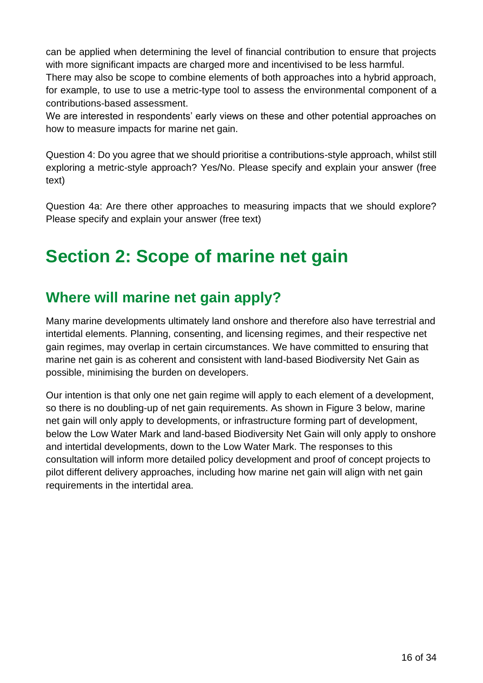can be applied when determining the level of financial contribution to ensure that projects with more significant impacts are charged more and incentivised to be less harmful.

There may also be scope to combine elements of both approaches into a hybrid approach, for example, to use to use a metric-type tool to assess the environmental component of a contributions-based assessment.

We are interested in respondents' early views on these and other potential approaches on how to measure impacts for marine net gain.

Question 4: Do you agree that we should prioritise a contributions-style approach, whilst still exploring a metric-style approach? Yes/No. Please specify and explain your answer (free text)

Question 4a: Are there other approaches to measuring impacts that we should explore? Please specify and explain your answer (free text)

## <span id="page-15-0"></span>**Section 2: Scope of marine net gain**

## <span id="page-15-1"></span>**Where will marine net gain apply?**

Many marine developments ultimately land onshore and therefore also have terrestrial and intertidal elements. Planning, consenting, and licensing regimes, and their respective net gain regimes, may overlap in certain circumstances. We have committed to ensuring that marine net gain is as coherent and consistent with land-based Biodiversity Net Gain as possible, minimising the burden on developers.

Our intention is that only one net gain regime will apply to each element of a development, so there is no doubling-up of net gain requirements. As shown in Figure 3 below, marine net gain will only apply to developments, or infrastructure forming part of development, below the Low Water Mark and land-based Biodiversity Net Gain will only apply to onshore and intertidal developments, down to the Low Water Mark. The responses to this consultation will inform more detailed policy development and proof of concept projects to pilot different delivery approaches, including how marine net gain will align with net gain requirements in the intertidal area.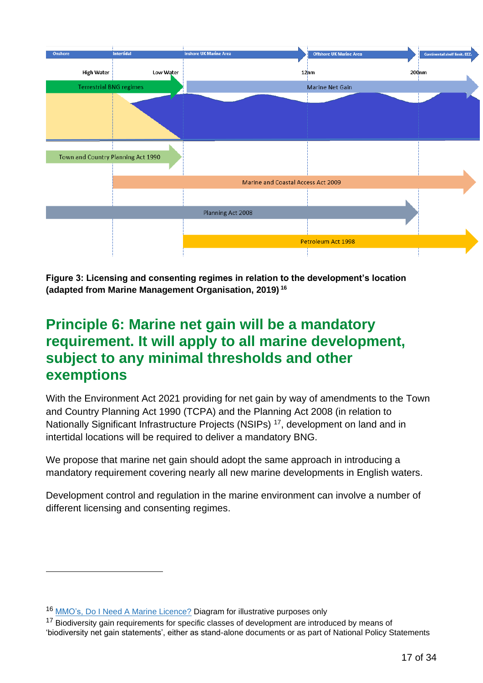

**Figure 3: Licensing and consenting regimes in relation to the development's location (adapted from Marine Management Organisation, 2019) <sup>16</sup>**

## <span id="page-16-0"></span>**Principle 6: Marine net gain will be a mandatory requirement. It will apply to all marine development, subject to any minimal thresholds and other exemptions**

With the Environment Act 2021 providing for net gain by way of amendments to the Town and Country Planning Act 1990 (TCPA) and the Planning Act 2008 (in relation to Nationally Significant Infrastructure Projects (NSIPs) <sup>17</sup>, development on land and in intertidal locations will be required to deliver a mandatory BNG.

We propose that marine net gain should adopt the same approach in introducing a mandatory requirement covering nearly all new marine developments in English waters.

Development control and regulation in the marine environment can involve a number of different licensing and consenting regimes.

<sup>16</sup> MMO's, [Do I Need A Marine Licence?](https://defra.sharepoint.com/teams/Team2210/Offshore%20Wind%20and%20Noise/Shared%20Outcome%20Fund/Net%20Gain/Consultation/Submission%20and%20Annexes/MMO) Diagram for illustrative purposes only

<sup>&</sup>lt;sup>17</sup> Biodiversity gain requirements for specific classes of development are introduced by means of 'biodiversity net gain statements', either as stand-alone documents or as part of National Policy Statements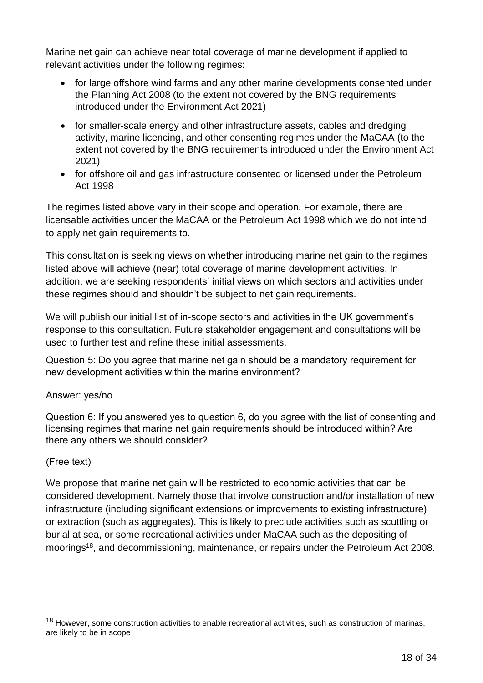Marine net gain can achieve near total coverage of marine development if applied to relevant activities under the following regimes:

- for large offshore wind farms and any other marine developments consented under the Planning Act 2008 (to the extent not covered by the BNG requirements introduced under the Environment Act 2021)
- for smaller-scale energy and other infrastructure assets, cables and dredging activity, marine licencing, and other consenting regimes under the MaCAA (to the extent not covered by the BNG requirements introduced under the Environment Act 2021)
- for offshore oil and gas infrastructure consented or licensed under the Petroleum Act 1998

The regimes listed above vary in their scope and operation. For example, there are licensable activities under the MaCAA or the Petroleum Act 1998 which we do not intend to apply net gain requirements to.

This consultation is seeking views on whether introducing marine net gain to the regimes listed above will achieve (near) total coverage of marine development activities. In addition, we are seeking respondents' initial views on which sectors and activities under these regimes should and shouldn't be subject to net gain requirements.

We will publish our initial list of in-scope sectors and activities in the UK government's response to this consultation. Future stakeholder engagement and consultations will be used to further test and refine these initial assessments.

Question 5: Do you agree that marine net gain should be a mandatory requirement for new development activities within the marine environment?

#### Answer: yes/no

Question 6: If you answered yes to question 6, do you agree with the list of consenting and licensing regimes that marine net gain requirements should be introduced within? Are there any others we should consider?

#### (Free text)

We propose that marine net gain will be restricted to economic activities that can be considered development. Namely those that involve construction and/or installation of new infrastructure (including significant extensions or improvements to existing infrastructure) or extraction (such as aggregates). This is likely to preclude activities such as scuttling or burial at sea, or some recreational activities under MaCAA such as the depositing of moorings<sup>18</sup>, and decommissioning, maintenance, or repairs under the Petroleum Act 2008.

<sup>&</sup>lt;sup>18</sup> However, some construction activities to enable recreational activities, such as construction of marinas, are likely to be in scope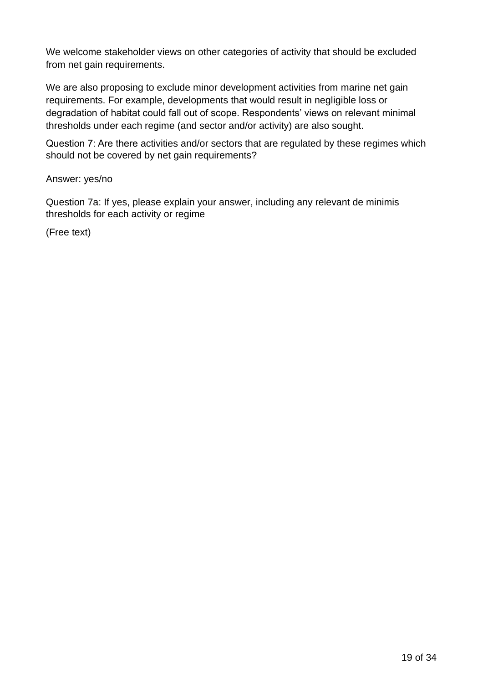We welcome stakeholder views on other categories of activity that should be excluded from net gain requirements.

We are also proposing to exclude minor development activities from marine net gain requirements. For example, developments that would result in negligible loss or degradation of habitat could fall out of scope. Respondents' views on relevant minimal thresholds under each regime (and sector and/or activity) are also sought.

Question 7: Are there activities and/or sectors that are regulated by these regimes which should not be covered by net gain requirements?

#### Answer: yes/no

Question 7a: If yes, please explain your answer, including any relevant de minimis thresholds for each activity or regime

(Free text)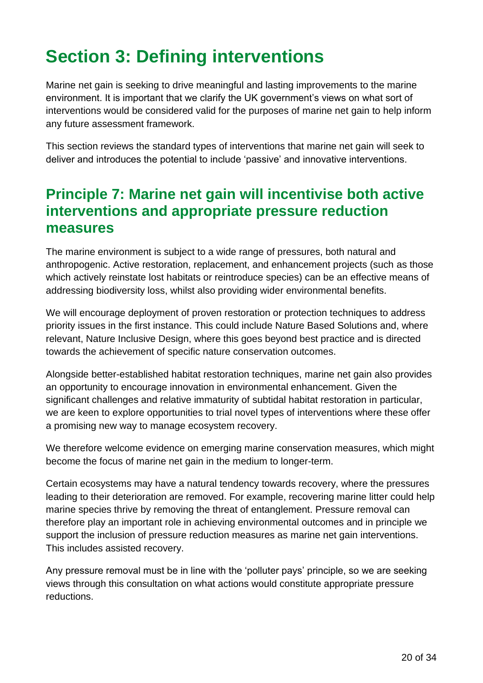# <span id="page-19-0"></span>**Section 3: Defining interventions**

Marine net gain is seeking to drive meaningful and lasting improvements to the marine environment. It is important that we clarify the UK government's views on what sort of interventions would be considered valid for the purposes of marine net gain to help inform any future assessment framework.

This section reviews the standard types of interventions that marine net gain will seek to deliver and introduces the potential to include 'passive' and innovative interventions.

### <span id="page-19-1"></span>**Principle 7: Marine net gain will incentivise both active interventions and appropriate pressure reduction measures**

The marine environment is subject to a wide range of pressures, both natural and anthropogenic. Active restoration, replacement, and enhancement projects (such as those which actively reinstate lost habitats or reintroduce species) can be an effective means of addressing biodiversity loss, whilst also providing wider environmental benefits.

We will encourage deployment of proven restoration or protection techniques to address priority issues in the first instance. This could include Nature Based Solutions and, where relevant, Nature Inclusive Design, where this goes beyond best practice and is directed towards the achievement of specific nature conservation outcomes.

Alongside better-established habitat restoration techniques, marine net gain also provides an opportunity to encourage innovation in environmental enhancement. Given the significant challenges and relative immaturity of subtidal habitat restoration in particular, we are keen to explore opportunities to trial novel types of interventions where these offer a promising new way to manage ecosystem recovery.

We therefore welcome evidence on emerging marine conservation measures, which might become the focus of marine net gain in the medium to longer-term.

Certain ecosystems may have a natural tendency towards recovery, where the pressures leading to their deterioration are removed. For example, recovering marine litter could help marine species thrive by removing the threat of entanglement. Pressure removal can therefore play an important role in achieving environmental outcomes and in principle we support the inclusion of pressure reduction measures as marine net gain interventions. This includes assisted recovery.

Any pressure removal must be in line with the 'polluter pays' principle, so we are seeking views through this consultation on what actions would constitute appropriate pressure reductions.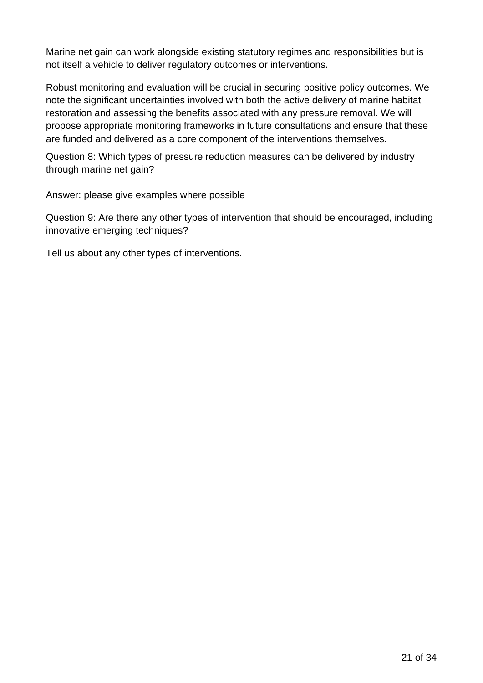Marine net gain can work alongside existing statutory regimes and responsibilities but is not itself a vehicle to deliver regulatory outcomes or interventions.

Robust monitoring and evaluation will be crucial in securing positive policy outcomes. We note the significant uncertainties involved with both the active delivery of marine habitat restoration and assessing the benefits associated with any pressure removal. We will propose appropriate monitoring frameworks in future consultations and ensure that these are funded and delivered as a core component of the interventions themselves.

Question 8: Which types of pressure reduction measures can be delivered by industry through marine net gain?

Answer: please give examples where possible

Question 9: Are there any other types of intervention that should be encouraged, including innovative emerging techniques?

Tell us about any other types of interventions.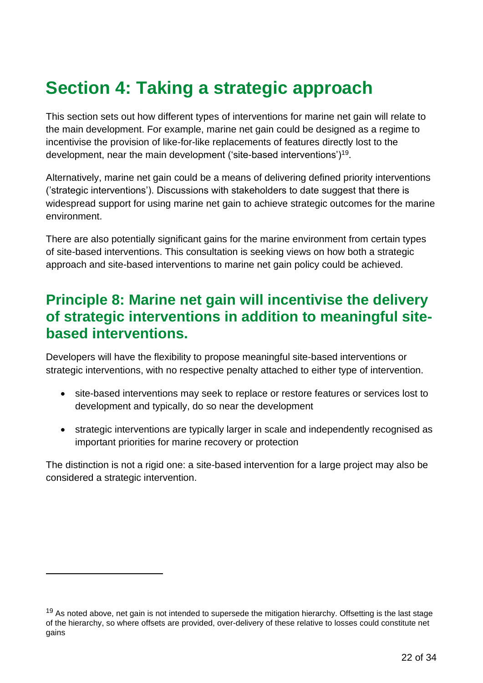## <span id="page-21-0"></span>**Section 4: Taking a strategic approach**

This section sets out how different types of interventions for marine net gain will relate to the main development. For example, marine net gain could be designed as a regime to incentivise the provision of like-for-like replacements of features directly lost to the development, near the main development ('site-based interventions')<sup>19</sup>.

Alternatively, marine net gain could be a means of delivering defined priority interventions ('strategic interventions'). Discussions with stakeholders to date suggest that there is widespread support for using marine net gain to achieve strategic outcomes for the marine environment.

There are also potentially significant gains for the marine environment from certain types of site-based interventions. This consultation is seeking views on how both a strategic approach and site-based interventions to marine net gain policy could be achieved.

### <span id="page-21-1"></span>**Principle 8: Marine net gain will incentivise the delivery of strategic interventions in addition to meaningful sitebased interventions.**

Developers will have the flexibility to propose meaningful site-based interventions or strategic interventions, with no respective penalty attached to either type of intervention.

- site-based interventions may seek to replace or restore features or services lost to development and typically, do so near the development
- strategic interventions are typically larger in scale and independently recognised as important priorities for marine recovery or protection

The distinction is not a rigid one: a site-based intervention for a large project may also be considered a strategic intervention.

 $19$  As noted above, net gain is not intended to supersede the mitigation hierarchy. Offsetting is the last stage of the hierarchy, so where offsets are provided, over-delivery of these relative to losses could constitute net gains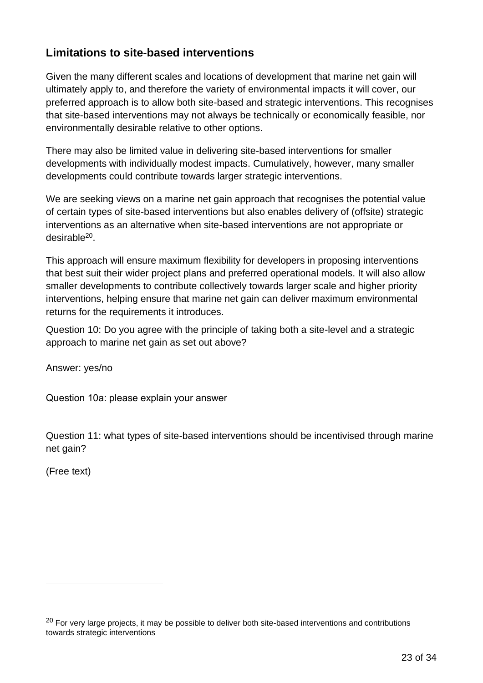### <span id="page-22-0"></span>**Limitations to site-based interventions**

Given the many different scales and locations of development that marine net gain will ultimately apply to, and therefore the variety of environmental impacts it will cover, our preferred approach is to allow both site-based and strategic interventions. This recognises that site-based interventions may not always be technically or economically feasible, nor environmentally desirable relative to other options.

There may also be limited value in delivering site-based interventions for smaller developments with individually modest impacts. Cumulatively, however, many smaller developments could contribute towards larger strategic interventions.

We are seeking views on a marine net gain approach that recognises the potential value of certain types of site-based interventions but also enables delivery of (offsite) strategic interventions as an alternative when site-based interventions are not appropriate or desirable<sup>20</sup>.

This approach will ensure maximum flexibility for developers in proposing interventions that best suit their wider project plans and preferred operational models. It will also allow smaller developments to contribute collectively towards larger scale and higher priority interventions, helping ensure that marine net gain can deliver maximum environmental returns for the requirements it introduces.

Question 10: Do you agree with the principle of taking both a site-level and a strategic approach to marine net gain as set out above?

Answer: yes/no

Question 10a: please explain your answer

Question 11: what types of site-based interventions should be incentivised through marine net gain?

(Free text)

<sup>&</sup>lt;sup>20</sup> For very large projects, it may be possible to deliver both site-based interventions and contributions towards strategic interventions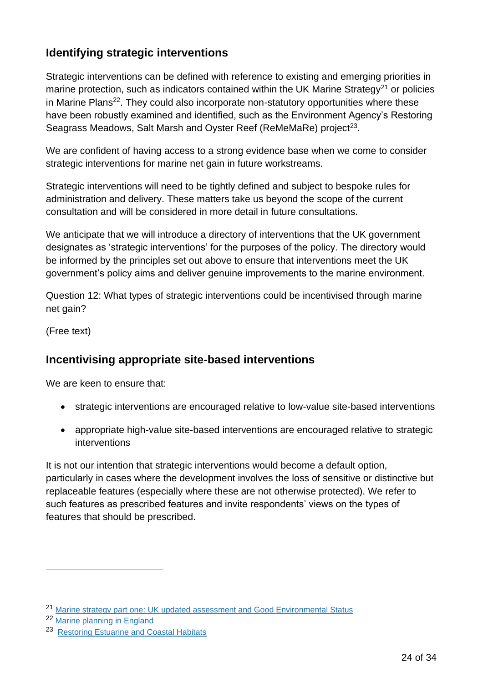### <span id="page-23-0"></span>**Identifying strategic interventions**

Strategic interventions can be defined with reference to existing and emerging priorities in marine protection, such as indicators contained within the UK Marine Strategy<sup>21</sup> or policies in Marine Plans<sup>22</sup>. They could also incorporate non-statutory opportunities where these have been robustly examined and identified, such as the Environment Agency's Restoring Seagrass Meadows, Salt Marsh and Oyster Reef (ReMeMaRe) project<sup>23</sup>.

We are confident of having access to a strong evidence base when we come to consider strategic interventions for marine net gain in future workstreams.

Strategic interventions will need to be tightly defined and subject to bespoke rules for administration and delivery. These matters take us beyond the scope of the current consultation and will be considered in more detail in future consultations.

We anticipate that we will introduce a directory of interventions that the UK government designates as 'strategic interventions' for the purposes of the policy. The directory would be informed by the principles set out above to ensure that interventions meet the UK government's policy aims and deliver genuine improvements to the marine environment.

Question 12: What types of strategic interventions could be incentivised through marine net gain?

(Free text)

### <span id="page-23-1"></span>**Incentivising appropriate site-based interventions**

We are keen to ensure that:

- strategic interventions are encouraged relative to low-value site-based interventions
- appropriate high-value site-based interventions are encouraged relative to strategic interventions

It is not our intention that strategic interventions would become a default option, particularly in cases where the development involves the loss of sensitive or distinctive but replaceable features (especially where these are not otherwise protected). We refer to such features as prescribed features and invite respondents' views on the types of features that should be prescribed.

<sup>21</sup> [Marine strategy part one: UK updated assessment and Good Environmental Status](https://www.gov.uk/government/publications/marine-strategy-part-one-uk-updated-assessment-and-good-environmental-status)

<sup>22</sup> [Marine planning in England](https://www.gov.uk/government/collections/marine-planning-in-england)

<sup>&</sup>lt;sup>23</sup> [Restoring Estuarine and Coastal Habitats](https://ecsa.international/sites/default/files/docs-reach/briefing-note-february-2021-290.pdf)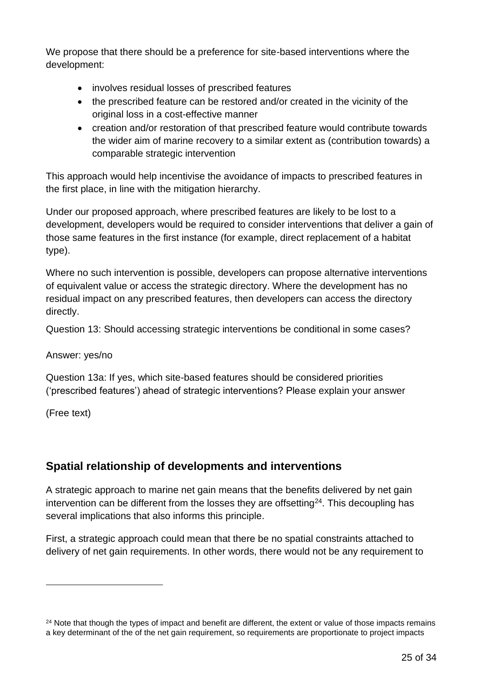We propose that there should be a preference for site-based interventions where the development:

- involves residual losses of prescribed features
- the prescribed feature can be restored and/or created in the vicinity of the original loss in a cost-effective manner
- creation and/or restoration of that prescribed feature would contribute towards the wider aim of marine recovery to a similar extent as (contribution towards) a comparable strategic intervention

This approach would help incentivise the avoidance of impacts to prescribed features in the first place, in line with the mitigation hierarchy.

Under our proposed approach, where prescribed features are likely to be lost to a development, developers would be required to consider interventions that deliver a gain of those same features in the first instance (for example, direct replacement of a habitat type).

Where no such intervention is possible, developers can propose alternative interventions of equivalent value or access the strategic directory. Where the development has no residual impact on any prescribed features, then developers can access the directory directly.

Question 13: Should accessing strategic interventions be conditional in some cases?

Answer: yes/no

Question 13a: If yes, which site-based features should be considered priorities ('prescribed features') ahead of strategic interventions? Please explain your answer

(Free text)

### <span id="page-24-0"></span>**Spatial relationship of developments and interventions**

A strategic approach to marine net gain means that the benefits delivered by net gain intervention can be different from the losses they are offsetting<sup>24</sup>. This decoupling has several implications that also informs this principle.

First, a strategic approach could mean that there be no spatial constraints attached to delivery of net gain requirements. In other words, there would not be any requirement to

<sup>&</sup>lt;sup>24</sup> Note that though the types of impact and benefit are different, the extent or value of those impacts remains a key determinant of the of the net gain requirement, so requirements are proportionate to project impacts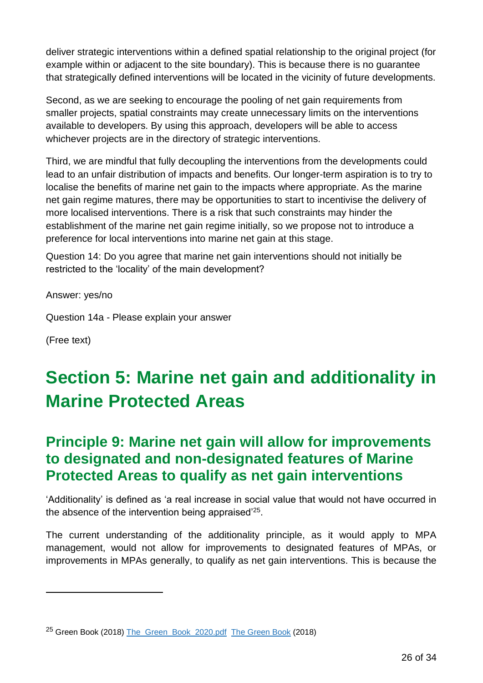deliver strategic interventions within a defined spatial relationship to the original project (for example within or adjacent to the site boundary). This is because there is no guarantee that strategically defined interventions will be located in the vicinity of future developments.

Second, as we are seeking to encourage the pooling of net gain requirements from smaller projects, spatial constraints may create unnecessary limits on the interventions available to developers. By using this approach, developers will be able to access whichever projects are in the directory of strategic interventions.

Third, we are mindful that fully decoupling the interventions from the developments could lead to an unfair distribution of impacts and benefits. Our longer-term aspiration is to try to localise the benefits of marine net gain to the impacts where appropriate. As the marine net gain regime matures, there may be opportunities to start to incentivise the delivery of more localised interventions. There is a risk that such constraints may hinder the establishment of the marine net gain regime initially, so we propose not to introduce a preference for local interventions into marine net gain at this stage.

Question 14: Do you agree that marine net gain interventions should not initially be restricted to the 'locality' of the main development?

Answer: yes/no

Question 14a - Please explain your answer

(Free text)

## <span id="page-25-0"></span>**Section 5: Marine net gain and additionality in Marine Protected Areas**

### <span id="page-25-1"></span>**Principle 9: Marine net gain will allow for improvements to designated and non-designated features of Marine Protected Areas to qualify as net gain interventions**

'Additionality' is defined as 'a real increase in social value that would not have occurred in the absence of the intervention being appraised $25$ .

The current understanding of the additionality principle, as it would apply to MPA management, would not allow for improvements to designated features of MPAs, or improvements in MPAs generally, to qualify as net gain interventions. This is because the

<sup>25</sup> Green Book (2018) [The\\_Green\\_Book\\_2020.pdf The Green Book](https://assets.publishing.service.gov.uk/government/uploads/system/uploads/attachment_data/file/938046/The_Green_Book_2020.pdf) (2018)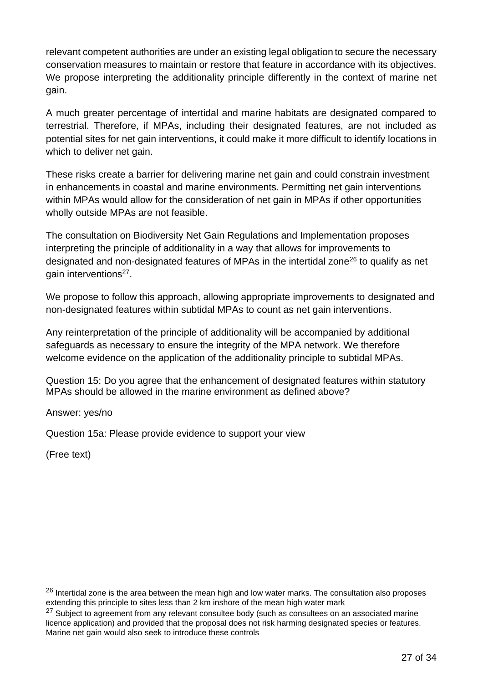relevant competent authorities are under an existing legal obligation to secure the necessary conservation measures to maintain or restore that feature in accordance with its objectives. We propose interpreting the additionality principle differently in the context of marine net gain.

A much greater percentage of intertidal and marine habitats are designated compared to terrestrial. Therefore, if MPAs, including their designated features, are not included as potential sites for net gain interventions, it could make it more difficult to identify locations in which to deliver net gain.

These risks create a barrier for delivering marine net gain and could constrain investment in enhancements in coastal and marine environments. Permitting net gain interventions within MPAs would allow for the consideration of net gain in MPAs if other opportunities wholly outside MPAs are not feasible.

The consultation on Biodiversity Net Gain Regulations and Implementation proposes interpreting the principle of additionality in a way that allows for improvements to designated and non-designated features of MPAs in the intertidal zone<sup>26</sup> to qualify as net gain interventions<sup>27</sup>.

We propose to follow this approach, allowing appropriate improvements to designated and non-designated features within subtidal MPAs to count as net gain interventions.

Any reinterpretation of the principle of additionality will be accompanied by additional safeguards as necessary to ensure the integrity of the MPA network. We therefore welcome evidence on the application of the additionality principle to subtidal MPAs.

Question 15: Do you agree that the enhancement of designated features within statutory MPAs should be allowed in the marine environment as defined above?

Answer: yes/no

Question 15a: Please provide evidence to support your view

(Free text)

<sup>&</sup>lt;sup>26</sup> Intertidal zone is the area between the mean high and low water marks. The consultation also proposes extending this principle to sites less than 2 km inshore of the mean high water mark

 $27$  Subject to agreement from any relevant consultee body (such as consultees on an associated marine licence application) and provided that the proposal does not risk harming designated species or features. Marine net gain would also seek to introduce these controls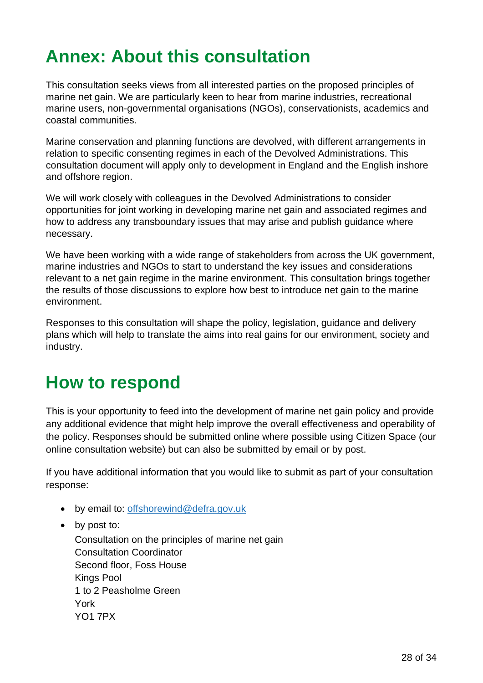# <span id="page-27-0"></span>**Annex: About this consultation**

This consultation seeks views from all interested parties on the proposed principles of marine net gain. We are particularly keen to hear from marine industries, recreational marine users, non-governmental organisations (NGOs), conservationists, academics and coastal communities.

Marine conservation and planning functions are devolved, with different arrangements in relation to specific consenting regimes in each of the Devolved Administrations. This consultation document will apply only to development in England and the English inshore and offshore region.

We will work closely with colleagues in the Devolved Administrations to consider opportunities for joint working in developing marine net gain and associated regimes and how to address any transboundary issues that may arise and publish guidance where necessary.

We have been working with a wide range of stakeholders from across the UK government, marine industries and NGOs to start to understand the key issues and considerations relevant to a net gain regime in the marine environment. This consultation brings together the results of those discussions to explore how best to introduce net gain to the marine environment.

Responses to this consultation will shape the policy, legislation, guidance and delivery plans which will help to translate the aims into real gains for our environment, society and industry.

## <span id="page-27-1"></span>**How to respond**

This is your opportunity to feed into the development of marine net gain policy and provide any additional evidence that might help improve the overall effectiveness and operability of the policy. Responses should be submitted online where possible using Citizen Space (our online consultation website) but can also be submitted by email or by post.

If you have additional information that you would like to submit as part of your consultation response:

- by email to: [offshorewind@defra.gov.uk](mailto:offshorewind@defra.gov.uk)
- by post to:

Consultation on the principles of marine net gain Consultation Coordinator Second floor, Foss House Kings Pool 1 to 2 Peasholme Green York YO1 7PX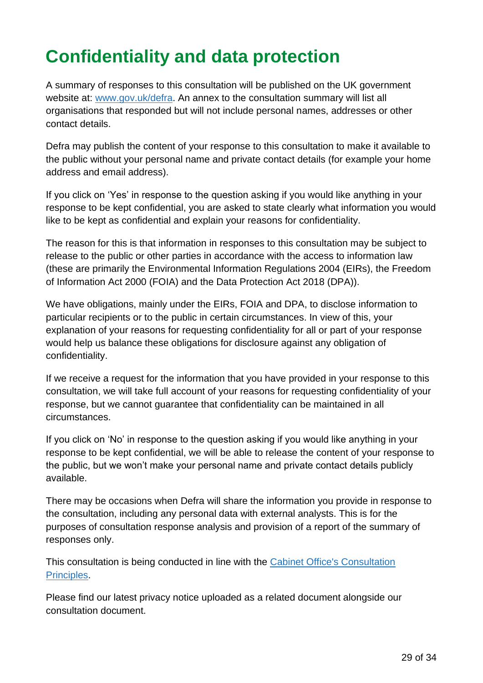# <span id="page-28-0"></span>**Confidentiality and data protection**

A summary of responses to this consultation will be published on the UK government website at: [www.gov.uk/defra.](https://eur03.safelinks.protection.outlook.com/?url=http%3A%2F%2Fwww.gov.uk%2Fdefra&data=04|01|Celia.Marsh%40defra.gov.uk|08521afc11064f5b3fd508d98d6fbefa|770a245002274c6290c74e38537f1102|0|0|637696333340719091|Unknown|TWFpbGZsb3d8eyJWIjoiMC4wLjAwMDAiLCJQIjoiV2luMzIiLCJBTiI6Ik1haWwiLCJXVCI6Mn0%3D|1000&sdata=%2FtdAaJMIxzEHIMZD91LeTpjDdyXEQzKG3udHeumEqDI%3D&reserved=0) An annex to the consultation summary will list all organisations that responded but will not include personal names, addresses or other contact details.

Defra may publish the content of your response to this consultation to make it available to the public without your personal name and private contact details (for example your home address and email address).

If you click on 'Yes' in response to the question asking if you would like anything in your response to be kept confidential, you are asked to state clearly what information you would like to be kept as confidential and explain your reasons for confidentiality.

The reason for this is that information in responses to this consultation may be subject to release to the public or other parties in accordance with the access to information law (these are primarily the Environmental Information Regulations 2004 (EIRs), the Freedom of Information Act 2000 (FOIA) and the Data Protection Act 2018 (DPA)).

We have obligations, mainly under the EIRs, FOIA and DPA, to disclose information to particular recipients or to the public in certain circumstances. In view of this, your explanation of your reasons for requesting confidentiality for all or part of your response would help us balance these obligations for disclosure against any obligation of confidentiality.

If we receive a request for the information that you have provided in your response to this consultation, we will take full account of your reasons for requesting confidentiality of your response, but we cannot guarantee that confidentiality can be maintained in all circumstances.

If you click on 'No' in response to the question asking if you would like anything in your response to be kept confidential, we will be able to release the content of your response to the public, but we won't make your personal name and private contact details publicly available.

There may be occasions when Defra will share the information you provide in response to the consultation, including any personal data with external analysts. This is for the purposes of consultation response analysis and provision of a report of the summary of responses only.

This consultation is being conducted in line with the [Cabinet Office's Consultation](https://www.gov.uk/government/publications/consultation-principles-guidance.)  [Principles.](https://www.gov.uk/government/publications/consultation-principles-guidance.)

Please find our latest privacy notice uploaded as a related document alongside our consultation document.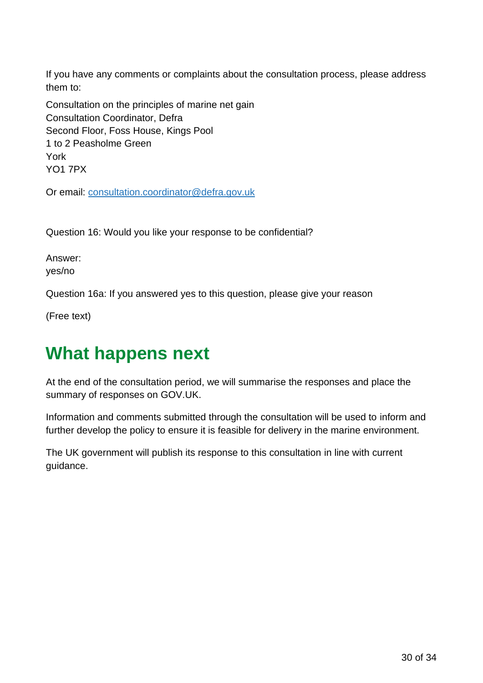If you have any comments or complaints about the consultation process, please address them to:

Consultation on the principles of marine net gain Consultation Coordinator, Defra Second Floor, Foss House, Kings Pool 1 to 2 Peasholme Green York YO1 7PX

Or email: [consultation.coordinator@defra.gov.uk](mailto:consultation.coordinator@defra.gov.uk)

Question 16: Would you like your response to be confidential?

Answer: yes/no

Question 16a: If you answered yes to this question, please give your reason

(Free text)

## <span id="page-29-0"></span>**What happens next**

At the end of the consultation period, we will summarise the responses and place the summary of responses on GOV.UK.

Information and comments submitted through the consultation will be used to inform and further develop the policy to ensure it is feasible for delivery in the marine environment.

The UK government will publish its response to this consultation in line with current guidance.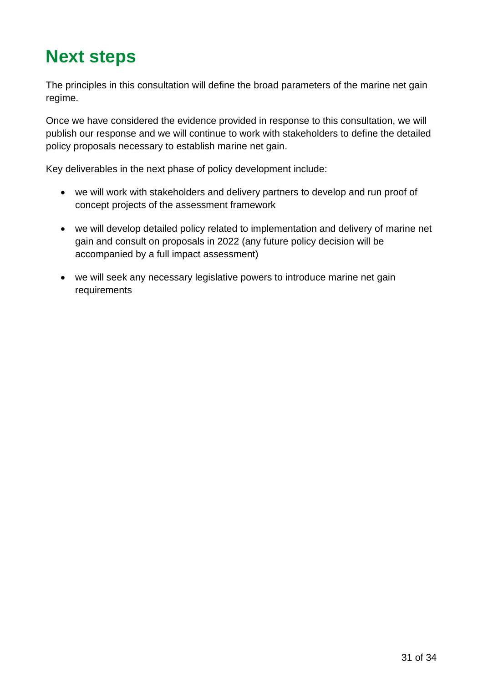## <span id="page-30-0"></span>**Next steps**

The principles in this consultation will define the broad parameters of the marine net gain regime.

Once we have considered the evidence provided in response to this consultation, we will publish our response and we will continue to work with stakeholders to define the detailed policy proposals necessary to establish marine net gain.

Key deliverables in the next phase of policy development include:

- we will work with stakeholders and delivery partners to develop and run proof of concept projects of the assessment framework
- we will develop detailed policy related to implementation and delivery of marine net gain and consult on proposals in 2022 (any future policy decision will be accompanied by a full impact assessment)
- we will seek any necessary legislative powers to introduce marine net gain requirements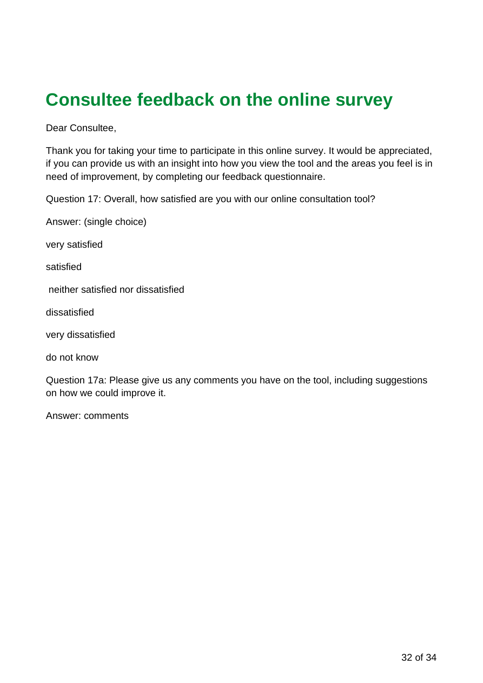## <span id="page-31-0"></span>**Consultee feedback on the online survey**

Dear Consultee,

Thank you for taking your time to participate in this online survey. It would be appreciated, if you can provide us with an insight into how you view the tool and the areas you feel is in need of improvement, by completing our feedback questionnaire.

Question 17: Overall, how satisfied are you with our online consultation tool?

Answer: (single choice)

very satisfied

satisfied

neither satisfied nor dissatisfied

dissatisfied

very dissatisfied

do not know

Question 17a: Please give us any comments you have on the tool, including suggestions on how we could improve it.

Answer: comments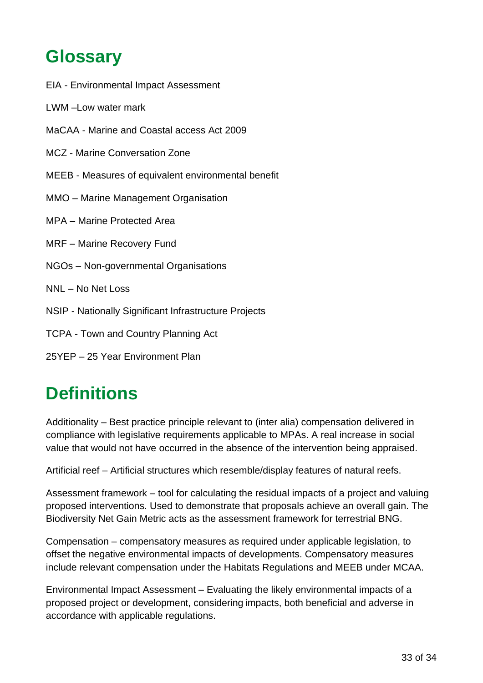## <span id="page-32-0"></span>**Glossary**

- EIA Environmental Impact Assessment
- LWM –Low water mark
- MaCAA Marine and Coastal access Act 2009
- MCZ Marine Conversation Zone
- MEEB Measures of equivalent environmental benefit
- MMO Marine Management Organisation
- MPA Marine Protected Area
- MRF Marine Recovery Fund
- NGOs Non-governmental Organisations
- NNL No Net Loss
- NSIP Nationally Significant Infrastructure Projects
- TCPA Town and Country Planning Act
- 25YEP 25 Year Environment Plan

## <span id="page-32-1"></span>**Definitions**

Additionality – Best practice principle relevant to (inter alia) compensation delivered in compliance with legislative requirements applicable to MPAs. A real increase in social value that would not have occurred in the absence of the intervention being appraised.

Artificial reef – Artificial structures which resemble/display features of natural reefs.

Assessment framework – tool for calculating the residual impacts of a project and valuing proposed interventions. Used to demonstrate that proposals achieve an overall gain. The Biodiversity Net Gain Metric acts as the assessment framework for terrestrial BNG.

Compensation – compensatory measures as required under applicable legislation, to offset the negative environmental impacts of developments. Compensatory measures include relevant compensation under the Habitats Regulations and MEEB under MCAA.

Environmental Impact Assessment – Evaluating the likely environmental impacts of a proposed project or development, considering impacts, both beneficial and adverse in accordance with applicable regulations.